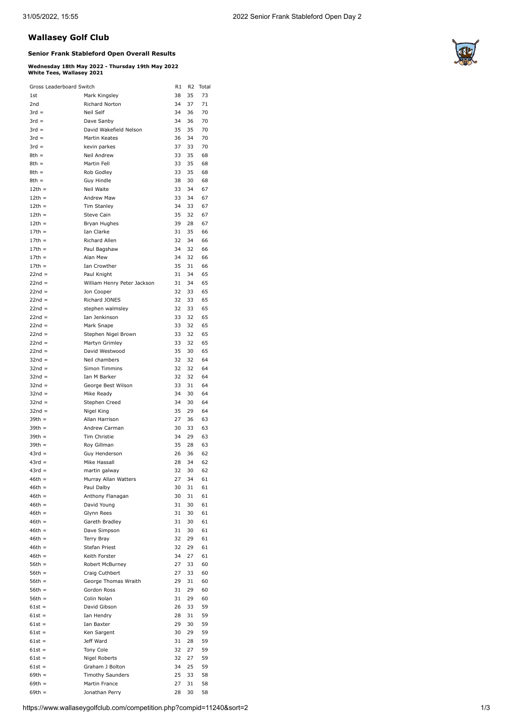## **Wallasey Golf Club**

## **Senior Frank Stableford Open Overall Results**

## **Wednesday 18th May 2022 - Thursday 19th May 2022 White Tees, Wallasey 2021**

| Gross Leaderboard Switch |                                       | R1 | R <sub>2</sub> | Total |
|--------------------------|---------------------------------------|----|----------------|-------|
| 1st                      | Mark Kingsley                         | 38 | 35             | 73    |
| 2nd                      | Richard Norton                        | 34 | 37             | 71    |
| $3rd =$                  | Neil Self                             | 34 | 36             | 70    |
| $3rd =$                  | Dave Sanby                            | 34 | 36             | 70    |
| $3rd =$                  | David Wakefield Nelson                | 35 | 35             | 70    |
| $3rd =$                  | Martin Keates                         | 36 | 34             | 70    |
| $3rd =$                  | kevin parkes                          | 37 | 33             | 70    |
| $8th =$                  | Neil Andrew                           | 33 | 35             | 68    |
| $8th =$                  | Martin Fell                           | 33 | 35             | 68    |
| $8th =$                  | Rob Godley                            | 33 | 35             | 68    |
| $8th =$                  | Guy Hindle                            | 38 | 30             | 68    |
| $12th =$                 | Neil Waite                            | 33 | 34             | 67    |
| $12th =$                 | Andrew Maw                            | 33 | 34             | 67    |
| $12th =$                 | <b>Tim Stanley</b>                    | 34 | 33             | 67    |
| $12th =$                 | Steve Cain                            | 35 | 32             | 67    |
| $12th =$                 | Bryan Hughes                          | 39 | 28             | 67    |
| $17th =$                 | Ian Clarke                            | 31 | 35             | 66    |
| $17th =$                 | Richard Allen                         | 32 | 34             | 66    |
| $17th =$                 | Paul Bagshaw                          | 34 | 32             | 66    |
| $17th =$                 | Alan Mew                              | 34 | 32             | 66    |
| $17th =$                 | Ian Crowther                          | 35 | 31             | 66    |
| $22nd =$                 | Paul Knight                           | 31 | 34             | 65    |
| $22nd =$                 | William Henry Peter Jackson           | 31 | 34             | 65    |
| $22nd =$                 | Jon Cooper                            | 32 | 33             | 65    |
| $22nd =$                 | Richard JONES                         | 32 | 33             | 65    |
| $22nd =$                 | stephen walmsley                      | 32 | 33             | 65    |
| $22nd =$                 | Ian Jenkinson                         | 33 | 32             | 65    |
| $22nd =$                 | Mark Snape                            | 33 | 32             | 65    |
| $22nd =$                 | Stephen Nigel Brown                   | 33 | 32             | 65    |
| $22nd =$                 | Martyn Grimley                        | 33 | 32             | 65    |
| $22nd =$                 | David Westwood                        | 35 | 30             | 65    |
| $32nd =$                 | Neil chambers                         | 32 | 32             | 64    |
| $32nd =$                 | Simon Timmins                         | 32 | 32             | 64    |
| $32nd =$                 | Ian M Barker                          | 32 | 32             | 64    |
| $32nd =$                 | George Best Wilson                    | 33 | 31             | 64    |
| $32nd =$                 | Mike Ready                            | 34 | 30             | 64    |
| $32nd =$                 | Stephen Creed                         | 34 | 30             | 64    |
| $32nd =$                 | Nigel King                            | 35 | 29             | 64    |
| $39th =$                 | Allan Harrison                        | 27 | 36             | 63    |
| $39th =$                 | Andrew Carman                         | 30 | 33             | 63    |
| $39th =$                 | Tim Christie                          | 34 | 29             | 63    |
| $39th =$                 | Roy Gillman                           | 35 | 28             | 63    |
| $43rd =$                 | Guy Henderson                         | 26 | 36             | 62    |
| $43rd =$                 | Mike Hassall                          | 28 | 34             | 62    |
| $43rd =$                 |                                       | 32 |                | 62    |
| $46th =$                 | martin galway<br>Murray Allan Watters | 27 | 30<br>34       |       |
|                          |                                       |    |                | 61    |
| $46th =$                 | Paul Dalby                            | 30 | 31             | 61    |
| $46th =$                 | Anthony Flanagan                      | 30 | 31             | 61    |
| $46th =$                 | David Young                           | 31 | 30             | 61    |
| $46th =$<br>$46th =$     | Glynn Rees                            | 31 | 30             | 61    |
|                          | Gareth Bradley                        | 31 | 30             | 61    |
| $46th =$                 | Dave Simpson                          | 31 | 30             | 61    |
| $46th =$<br>$46th =$     | Terry Bray                            | 32 | 29             | 61    |
|                          | Stefan Priest                         | 32 | 29             | 61    |
| $46th =$                 | Keith Forster                         | 34 | 27             | 61    |
| $56th =$                 | Robert McBurney                       | 27 | 33             | 60    |
| $56th =$                 | Craig Cuthbert                        | 27 | 33             | 60    |
| $56th =$                 | George Thomas Wraith                  | 29 | 31             | 60    |
| $56th =$                 | Gordon Ross                           | 31 | 29             | 60    |
| $56th =$                 | Colin Nolan                           | 31 | 29             | 60    |
| $61st =$                 | David Gibson                          | 26 | 33             | 59    |
| $61st =$                 | Ian Hendry                            | 28 | 31             | 59    |
| $61st =$                 | Ian Baxter                            | 29 | 30             | 59    |
| $61st =$                 | Ken Sargent                           | 30 | 29             | 59    |
| $61st =$                 | Jeff Ward                             | 31 | 28             | 59    |
| $61st =$                 | Tony Cole                             | 32 | 27             | 59    |
| $61st =$                 | Nigel Roberts                         | 32 | 27             | 59    |
| $61st =$                 | Graham J Bolton                       | 34 | 25             | 59    |
| $69th =$                 | <b>Timothy Saunders</b>               | 25 | 33             | 58    |
| $69th =$                 | Martin France                         | 27 | 31             | 58    |
| $69th =$                 | Jonathan Perry                        | 28 | 30             | 58    |

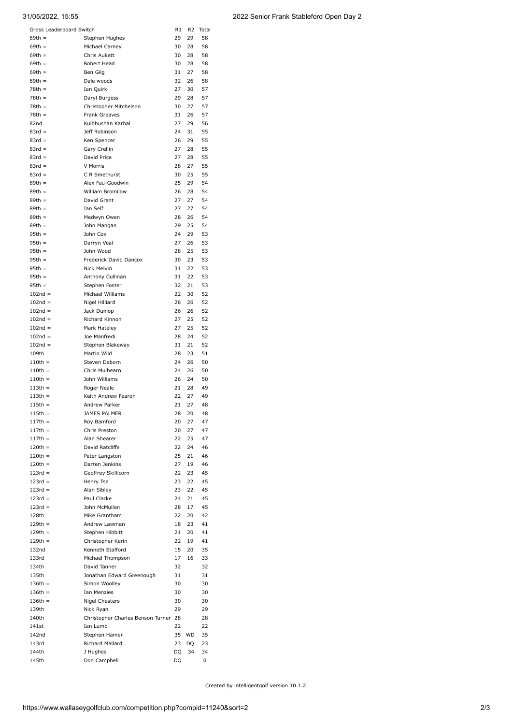| Gross Leaderboard Switch<br>R1<br>R <sub>2</sub><br>Total |                                      |          |          |          |  |
|-----------------------------------------------------------|--------------------------------------|----------|----------|----------|--|
| $69th =$                                                  | Stephen Hughes                       | 29       | 29       | 58       |  |
| $69th =$                                                  | Michael Carnev                       | 30       | 28       | 58       |  |
| $69th =$                                                  | Chris Aukett                         | 30       | 28       | 58       |  |
| $69th =$                                                  | Robert Head                          | 30       | 28       | 58       |  |
| $69th =$<br>$69th =$                                      | Ben Gilg                             | 31<br>32 | 27<br>26 | 58<br>58 |  |
| $78th =$                                                  | Dale woods<br>Ian Quirk              | 27       | 30       | 57       |  |
| $78th =$                                                  | Daryl Burgess                        | 29       | 28       | 57       |  |
| $78th =$                                                  | Christopher Mitchelson               | 30       | 27       | 57       |  |
| $78th =$                                                  | <b>Frank Greaves</b>                 | 31       | 26       | 57       |  |
| 82nd                                                      | Kulbhushan Karbal                    | 27       | 29       | 56       |  |
| $83rd =$                                                  | Jeff Robinson                        | 24       | 31       | 55       |  |
| $83rd =$                                                  | Ken Spencer                          | 26       | 29       | 55       |  |
| $83rd =$                                                  | Gary Crellin                         | 27       | 28       | 55       |  |
| $83rd =$<br>$83rd =$                                      | David Price<br>V Morris              | 27<br>28 | 28<br>27 | 55<br>55 |  |
| $83rd =$                                                  | C R Smethurst                        | 30       | 25       | 55       |  |
| $89th =$                                                  | Alex Fau-Goodwin                     | 25       | 29       | 54       |  |
| $89th =$                                                  | <b>William Bromilow</b>              | 26       | 28       | 54       |  |
| $89th =$                                                  | David Grant                          | 27       | 27       | 54       |  |
| $89th =$                                                  | Ian Self                             | 27       | 27       | 54       |  |
| $89th =$                                                  | Medwyn Owen                          | 28       | 26       | 54       |  |
| $89th =$                                                  | John Mangan                          | 29       | 25       | 54       |  |
| $95th =$                                                  | John Cox                             | 24       | 29       | 53       |  |
| $95th =$<br>$95th =$                                      | Darryn Veal<br>John Wood             | 27<br>28 | 26<br>25 | 53<br>53 |  |
| $95th =$                                                  | Frederick David Dancox               | 30       | 23       | 53       |  |
| $95th =$                                                  | Nick Melvin                          | 31       | 22       | 53       |  |
| $95th =$                                                  | Anthony Cullinan                     | 31       | 22       | 53       |  |
| $95th =$                                                  | Stephen Foster                       | 32       | 21       | 53       |  |
| $102nd =$                                                 | Michael Williams                     | 22       | 30       | 52       |  |
| $102nd =$                                                 | Nigel Hilliard                       | 26       | 26       | 52       |  |
| $102nd =$                                                 | Jack Dunlop                          | 26       | 26       | 52       |  |
| $102nd =$<br>$102nd =$                                    | Richard Kinnon<br>Mark Hateley       | 27<br>27 | 25<br>25 | 52<br>52 |  |
| $102nd =$                                                 | Joe Manfredi                         | 28       | 24       | 52       |  |
| $102nd =$                                                 | Stephen Blakeway                     | 31       | 21       | 52       |  |
| 109th                                                     | Martin Wild                          | 28       | 23       | 51       |  |
| $110th =$                                                 | Steven Daborn                        | 24       | 26       | 50       |  |
| $110th =$                                                 | Chris Mulhearn                       | 24       | 26       | 50       |  |
| $110th =$                                                 | John Williams                        | 26       | 24       | 50       |  |
| $113th =$                                                 | Roger Neale                          | 21       | 28       | 49       |  |
| $113th =$<br>$115th =$                                    | Keith Andrew Fearon<br>Andrew Parker | 22<br>21 | 27<br>27 | 49<br>48 |  |
| 115th =                                                   | JAMES PALMER                         | 28       | 20       | 48       |  |
| $117th =$                                                 | Roy Bamford                          | 20       | 27       | 47       |  |
| $117th =$                                                 | Chris Preston                        | 20       | 27       | 47       |  |
| $117th =$                                                 | Alan Shearer                         | 22       | 25       | 47       |  |
| $120th =$                                                 | David Ratcliffe                      | 22       | 24       | 46       |  |
| $120th =$                                                 | Peter Langston                       | 25       | 21       | 46       |  |
| $120th =$                                                 | Darren Jenkins                       | 27       | 19       | 46       |  |
| $123rd =$<br>$123rd =$                                    | Geoffrey Skillicorn<br>Henry Tse     | 22<br>23 | 23<br>22 | 45<br>45 |  |
| $123rd =$                                                 | Alan Sibley                          | 23       | 22       | 45       |  |
| $123rd =$                                                 | Paul Clarke                          | 24       | 21       | 45       |  |
| $123rd =$                                                 | John McMullan                        | 28       | 17       | 45       |  |
| 128th                                                     | Mike Grantham                        | 22       | 20       | 42       |  |
| $129th =$                                                 | Andrew Lawman                        | 18       | 23       | 41       |  |
| $129th =$                                                 | Stephen Hibbitt                      | 21       | 20       | 41       |  |
| $129th =$                                                 | Christopher Kerin                    | 22       | 19       | 41       |  |
| 132nd<br>133rd                                            | Kenneth Stafford                     | 15<br>17 | 20<br>16 | 35<br>33 |  |
| 134th                                                     | Michael Thompson<br>David Tanner     | 32       |          | 32       |  |
| 135th                                                     | Jonathan Edward Greenough            | 31       |          | 31       |  |
| $136th =$                                                 | Simon Woolley                        | 30       |          | 30       |  |
| $136th =$                                                 | Ian Menzies                          | 30       |          | 30       |  |
| $136th =$                                                 | <b>Nigel Chesters</b>                | 30       |          | 30       |  |
| 139th                                                     | Nick Ryan                            | 29       |          | 29       |  |
| 140th                                                     | Christopher Charles Benson Turner 28 |          |          | 28       |  |
| 141st                                                     | Ian Lumb                             | 22       |          | 22       |  |
| 142nd<br>143rd                                            | Stephen Hamer<br>Richard Mallard     | 35<br>23 | WD       | 35<br>23 |  |
| 144th                                                     | J Hughes                             | DQ       | DQ<br>34 | 34       |  |
| 145th                                                     | Don Campbell                         | DQ       |          | 0        |  |
|                                                           |                                      |          |          |          |  |